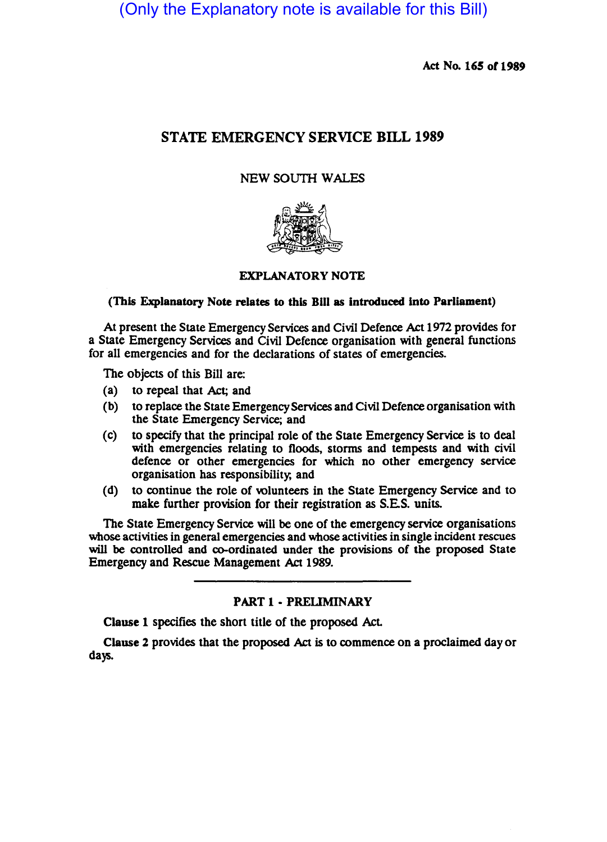(Only the Explanatory note is available for this Bill)

Act No. 165 or 1989

# STATE EMERGENCY SERVICE BILL 1989

# NEW SOUTH WALES



# EXPLANATORY NOTE

# (This Explanatory Note relates to this Bill as introduced into Parliament)

At present the State Emergency Services and Civil Defence Act 1972 provides for a State Emergency Services and Civil Defence organisation with general functions for all emergencies and for the declarations of states of emergencies.

The Objects of this Bill are:

- (a) to repeal that Act; and
- (b) to replace the State Emergency Services and Civil Defence organisation with the State Emergency Service; and
- (c) to specify that the principal role of the State Emergency Service is to deal with emergencies relating to floods, storms and tempests and with civil defence or other emergencies for which no other emergency service organisation has responsibility, and
- (d) to continue the role of volunteers in the State Emergency Service and to make further provision for their registration as S.E.S. units.

The State Emergency Service will be one of the emergency service organisations whose activities in general emergencies and whose activities in single incident rescues will be controlled and co-ordinated under the provisions of the proposed State Emergency and Rescue Management Act 1989.

#### PART 1 - PRELIMINARY

Clause 1 specifies the short title of the proposed Act.

Clause 1 provides that the proposed Act is to commence on a proclaimed day or days.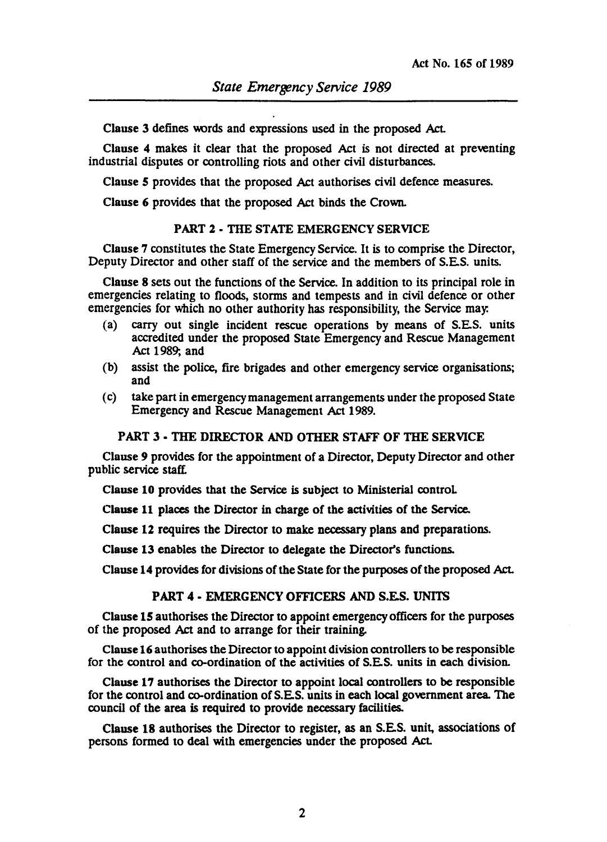Clause 3 defines words and expressions used in the proposed Act.

Clause 4 makes it clear that the proposed Act is not directed at preventing industrial disputes or controlling riots and other civil disturbances.

Clause 5 provides that the proposed Act authorises civil defence measures.

Clause 6 provides that the proposed Act binds the Crown.

#### PART 2· THE STATE EMERGENCY SERVICE

Clause 7 constitutes the State Emergency Service. It is to comprise the Director, Deputy Director and other staff of the service and the members of S.E.S. units.

Clause 8 sets out the functions of the Service. In addition to its principal role in emergencies relating to fioods, storms and tempests and in civil defence or other emergencies for which no other authority has responsibility, the Service may.

- (a) carry out single incident rescue operations by means of S.E.S. units accredited under the proposed State Emergency and Rescue Management Act 1989; and
- (b) assist the police, fire brigades and other emergency service organisations; and
- (c) take part in emergency management arrangements under the proposed State Emergency and Rescue Management Act 1989.

#### PART 3 • THE DIRECTOR AND OTHER STAFF OF THE SERVICE

Clause 9 provides for the appointment of a Director, Deputy Director and other public service staff.

Clause 10 provides that the Service is subject to Ministerial controL

Clause 11 places the Director in charge of the activities of the Service.

Clause 12 requires the Director to make necessary plans and preparations.

Clause 13 enables the Director to delegate the Director's functions.

Clause 14 provides for divisions of the State for the purposes of the proposed Act.

## PART 4 - EMERGENCY OFFICERS AND S.E.S. UNITS

Clause 15 authorises the Director to appoint emergency officers for the purposes of the proposed Act and to arrange for their training.

Clause 16 authorises the Director to appoint division controllers to be responsible for the control and co-ordination of the activities of S.E.S. units in each division.

Clause 17 authorises the Director to appoint local controllers to be responsible for the control and co-ordination of S.E.S. units in each local government area. The council of the area is required to provide necessary facilities.

Clause 18 authorises the Director to register, as an S.E.S. unit, associations of persons formed to deal with emergencies under the proposed Act.